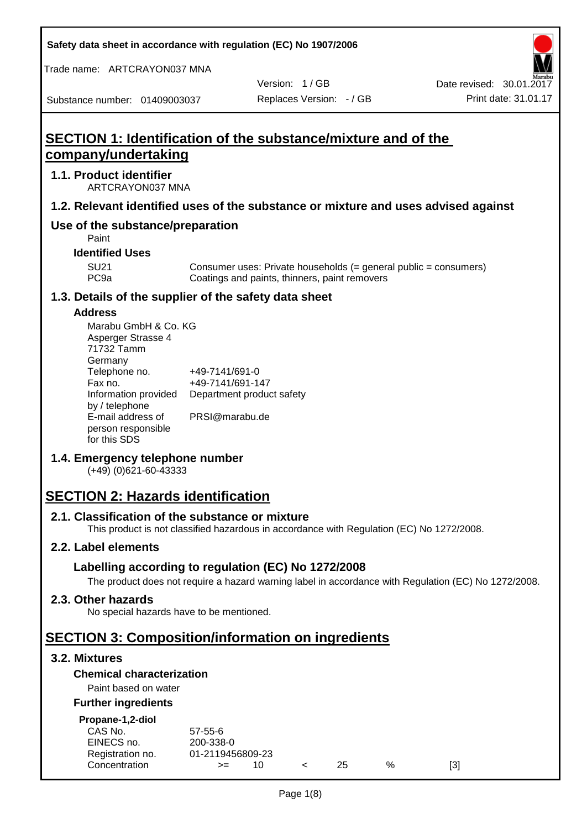**Safety data sheet in accordance with regulation (EC) No 1907/2006**

Trade name: ARTCRAYON037 MNA

Version: 1 / GB

Substance number: 01409003037

# **SECTION 1: Identification of the substance/mixture and of the company/undertaking**

# **1.1. Product identifier**

ARTCRAYON037 MNA

# **1.2. Relevant identified uses of the substance or mixture and uses advised against**

# **Use of the substance/preparation**

Paint

**Identified Uses**

SU21 Consumer uses: Private households (= general public = consumers)<br>PC9a Coatings and paints, thinners, paint removers Coatings and paints, thinners, paint removers

#### **1.3. Details of the supplier of the safety data sheet**

#### **Address**

| Marabu GmbH & Co. KG |                           |
|----------------------|---------------------------|
| Asperger Strasse 4   |                           |
| 71732 Tamm           |                           |
| Germany              |                           |
| Telephone no.        | +49-7141/691-0            |
| Fax no.              | +49-7141/691-147          |
| Information provided | Department product safety |
| by / telephone       |                           |
| E-mail address of    | PRSI@marabu.de            |
| person responsible   |                           |
| for this SDS         |                           |

# **1.4. Emergency telephone number**

(+49) (0)621-60-43333

# **SECTION 2: Hazards identification**

#### **2.1. Classification of the substance or mixture**

This product is not classified hazardous in accordance with Regulation (EC) No 1272/2008.

# **2.2. Label elements**

# **Labelling according to regulation (EC) No 1272/2008**

The product does not require a hazard warning label in accordance with Regulation (EC) No 1272/2008.

#### **2.3. Other hazards**

No special hazards have to be mentioned.

# **SECTION 3: Composition/information on ingredients**

# **3.2. Mixtures**

# **Chemical characterization**

# Paint based on water

#### **Further ingredients**

| Propane-1,2-diol |  |
|------------------|--|
|                  |  |

| CAS No.          | $57 - 55 - 6$    |     |     |   |     |
|------------------|------------------|-----|-----|---|-----|
| EINECS no.       | 200-338-0        |     |     |   |     |
| Registration no. | 01-2119456809-23 |     |     |   |     |
| Concentration    | $>=$             | 10. | 25. | % | [3] |
|                  |                  |     |     |   |     |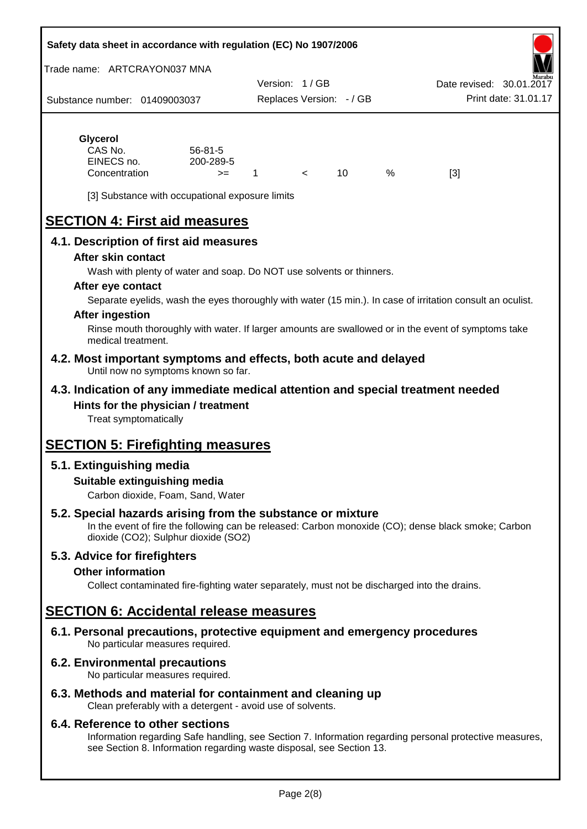#### **Safety data sheet in accordance with regulation (EC) No 1907/2006**

Trade name: ARTCRAYON037 MNA

Substance number: 01409003037 Version: 1 / GB Replaces Version: - / GB Print date: 31.01.17 Date revised: 30.01.2

# **Glycerol**

| CAS No.       | $56 - 81 - 5$ |  |   |     |
|---------------|---------------|--|---|-----|
| EINECS no.    | 200-289-5     |  |   |     |
| Concentration | $>=$          |  | % | [3] |

[3] Substance with occupational exposure limits

# **SECTION 4: First aid measures**

# **4.1. Description of first aid measures**

#### **After skin contact**

Wash with plenty of water and soap. Do NOT use solvents or thinners.

#### **After eye contact**

Separate eyelids, wash the eyes thoroughly with water (15 min.). In case of irritation consult an oculist.

#### **After ingestion**

Rinse mouth thoroughly with water. If larger amounts are swallowed or in the event of symptoms take medical treatment.

#### **4.2. Most important symptoms and effects, both acute and delayed** Until now no symptoms known so far.

# **4.3. Indication of any immediate medical attention and special treatment needed Hints for the physician / treatment**

Treat symptomatically

# **SECTION 5: Firefighting measures**

# **5.1. Extinguishing media**

# **Suitable extinguishing media**

Carbon dioxide, Foam, Sand, Water

# **5.2. Special hazards arising from the substance or mixture**

In the event of fire the following can be released: Carbon monoxide (CO); dense black smoke; Carbon dioxide (CO2); Sulphur dioxide (SO2)

# **5.3. Advice for firefighters**

#### **Other information**

Collect contaminated fire-fighting water separately, must not be discharged into the drains.

# **SECTION 6: Accidental release measures**

**6.1. Personal precautions, protective equipment and emergency procedures** No particular measures required.

# **6.2. Environmental precautions**

No particular measures required.

# **6.3. Methods and material for containment and cleaning up**

Clean preferably with a detergent - avoid use of solvents.

#### **6.4. Reference to other sections**

Information regarding Safe handling, see Section 7. Information regarding personal protective measures, see Section 8. Information regarding waste disposal, see Section 13.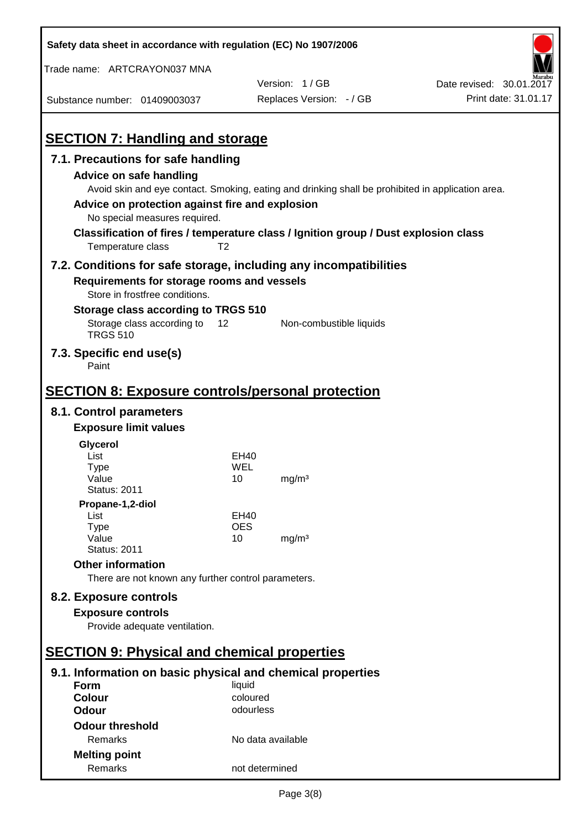| Safety data sheet in accordance with regulation (EC) No 1907/2006                                                                                 |                   |                                                                                                                                                                                          |                          |
|---------------------------------------------------------------------------------------------------------------------------------------------------|-------------------|------------------------------------------------------------------------------------------------------------------------------------------------------------------------------------------|--------------------------|
| Trade name: ARTCRAYON037 MNA                                                                                                                      |                   |                                                                                                                                                                                          |                          |
|                                                                                                                                                   |                   | Version: 1/GB                                                                                                                                                                            | Date revised: 30.01.2017 |
| Substance number: 01409003037                                                                                                                     |                   | Replaces Version: - / GB                                                                                                                                                                 | Print date: 31.01.17     |
| <b>SECTION 7: Handling and storage</b>                                                                                                            |                   |                                                                                                                                                                                          |                          |
| 7.1. Precautions for safe handling                                                                                                                |                   |                                                                                                                                                                                          |                          |
| Advice on safe handling<br>Advice on protection against fire and explosion<br>No special measures required.                                       |                   | Avoid skin and eye contact. Smoking, eating and drinking shall be prohibited in application area.<br>Classification of fires / temperature class / Ignition group / Dust explosion class |                          |
| Temperature class                                                                                                                                 | T <sub>2</sub>    |                                                                                                                                                                                          |                          |
| 7.2. Conditions for safe storage, including any incompatibilities<br>Requirements for storage rooms and vessels<br>Store in frostfree conditions. |                   |                                                                                                                                                                                          |                          |
| Storage class according to TRGS 510                                                                                                               |                   |                                                                                                                                                                                          |                          |
| Storage class according to<br><b>TRGS 510</b>                                                                                                     | 12                | Non-combustible liquids                                                                                                                                                                  |                          |
| 7.3. Specific end use(s)<br>Paint                                                                                                                 |                   |                                                                                                                                                                                          |                          |
| <b>SECTION 8: Exposure controls/personal protection</b>                                                                                           |                   |                                                                                                                                                                                          |                          |
| 8.1. Control parameters                                                                                                                           |                   |                                                                                                                                                                                          |                          |
| <b>Exposure limit values</b>                                                                                                                      |                   |                                                                                                                                                                                          |                          |
| Glycerol                                                                                                                                          |                   |                                                                                                                                                                                          |                          |
| List                                                                                                                                              | EH40              |                                                                                                                                                                                          |                          |
| Type                                                                                                                                              | WEL               |                                                                                                                                                                                          |                          |
| Value<br><b>Status: 2011</b>                                                                                                                      | 10                | mg/m <sup>3</sup>                                                                                                                                                                        |                          |
| Propane-1,2-diol                                                                                                                                  |                   |                                                                                                                                                                                          |                          |
| List                                                                                                                                              | EH40              |                                                                                                                                                                                          |                          |
| <b>Type</b><br>Value                                                                                                                              | <b>OES</b><br>10  | mg/m <sup>3</sup>                                                                                                                                                                        |                          |
| <b>Status: 2011</b>                                                                                                                               |                   |                                                                                                                                                                                          |                          |
| <b>Other information</b>                                                                                                                          |                   |                                                                                                                                                                                          |                          |
| There are not known any further control parameters.                                                                                               |                   |                                                                                                                                                                                          |                          |
| 8.2. Exposure controls                                                                                                                            |                   |                                                                                                                                                                                          |                          |
| <b>Exposure controls</b>                                                                                                                          |                   |                                                                                                                                                                                          |                          |
| Provide adequate ventilation.                                                                                                                     |                   |                                                                                                                                                                                          |                          |
|                                                                                                                                                   |                   |                                                                                                                                                                                          |                          |
| <b>SECTION 9: Physical and chemical properties</b>                                                                                                |                   |                                                                                                                                                                                          |                          |
| 9.1. Information on basic physical and chemical properties                                                                                        |                   |                                                                                                                                                                                          |                          |
| <b>Form</b>                                                                                                                                       | liquid            |                                                                                                                                                                                          |                          |
| <b>Colour</b>                                                                                                                                     | coloured          |                                                                                                                                                                                          |                          |
| <b>Odour</b>                                                                                                                                      | odourless         |                                                                                                                                                                                          |                          |
| <b>Odour threshold</b>                                                                                                                            |                   |                                                                                                                                                                                          |                          |
| Remarks                                                                                                                                           | No data available |                                                                                                                                                                                          |                          |
| <b>Melting point</b>                                                                                                                              |                   |                                                                                                                                                                                          |                          |
| Remarks                                                                                                                                           | not determined    |                                                                                                                                                                                          |                          |

 $\mathbf{r}$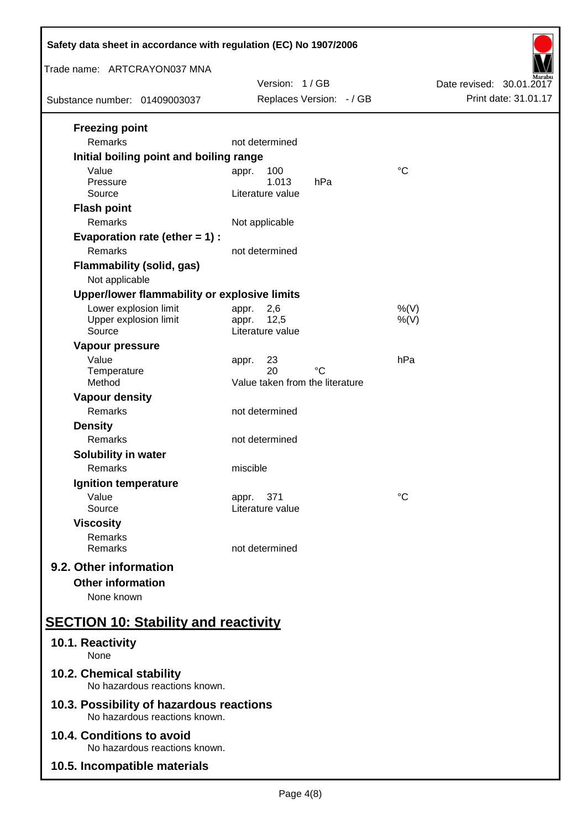| Safety data sheet in accordance with regulation (EC) No 1907/2006         |                                                            |                          |  |  |
|---------------------------------------------------------------------------|------------------------------------------------------------|--------------------------|--|--|
| Trade name: ARTCRAYON037 MNA                                              | Version: 1/GB                                              | Date revised: 30.01.2017 |  |  |
| Substance number: 01409003037                                             | Replaces Version: - / GB                                   | Print date: 31.01.17     |  |  |
| <b>Freezing point</b><br><b>Remarks</b>                                   | not determined                                             |                          |  |  |
| Initial boiling point and boiling range                                   |                                                            |                          |  |  |
| Value<br>Pressure<br>Source                                               | 100<br>appr.<br>1.013<br>hPa<br>Literature value           | $^{\circ}C$              |  |  |
| <b>Flash point</b><br>Remarks                                             | Not applicable                                             |                          |  |  |
| Evaporation rate (ether $= 1$ ) :<br>Remarks                              | not determined                                             |                          |  |  |
| <b>Flammability (solid, gas)</b><br>Not applicable                        |                                                            |                          |  |  |
| Upper/lower flammability or explosive limits                              |                                                            |                          |  |  |
| Lower explosion limit<br>Upper explosion limit<br>Source                  | 2,6<br>appr.<br>12,5<br>appr.<br>Literature value          | $%$ (V)<br>$%$ (V)       |  |  |
| Vapour pressure<br>Value<br>Temperature<br>Method                         | 23<br>appr.<br>20<br>°C<br>Value taken from the literature | hPa                      |  |  |
| <b>Vapour density</b>                                                     |                                                            |                          |  |  |
| Remarks                                                                   | not determined                                             |                          |  |  |
| <b>Density</b><br>Remarks                                                 | not determined                                             |                          |  |  |
| <b>Solubility in water</b><br>Remarks                                     | miscible                                                   |                          |  |  |
| Ignition temperature                                                      |                                                            |                          |  |  |
| Value<br>Source                                                           | 371<br>appr.<br>Literature value                           | $^{\circ}C$              |  |  |
| <b>Viscosity</b><br>Remarks<br>Remarks                                    | not determined                                             |                          |  |  |
| 9.2. Other information<br><b>Other information</b><br>None known          |                                                            |                          |  |  |
| <b>SECTION 10: Stability and reactivity</b>                               |                                                            |                          |  |  |
| 10.1. Reactivity<br>None                                                  |                                                            |                          |  |  |
| 10.2. Chemical stability<br>No hazardous reactions known.                 |                                                            |                          |  |  |
| 10.3. Possibility of hazardous reactions<br>No hazardous reactions known. |                                                            |                          |  |  |
| 10.4. Conditions to avoid                                                 |                                                            |                          |  |  |
| No hazardous reactions known.<br>10.5. Incompatible materials             |                                                            |                          |  |  |
|                                                                           |                                                            |                          |  |  |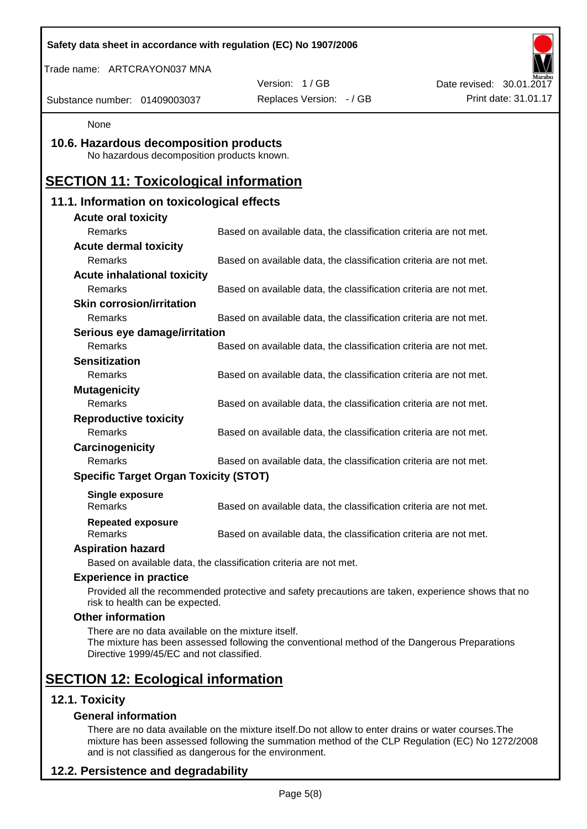| Safety data sheet in accordance with regulation (EC) No 1907/2006                              |                                                                                                    |                          |
|------------------------------------------------------------------------------------------------|----------------------------------------------------------------------------------------------------|--------------------------|
| Trade name: ARTCRAYON037 MNA                                                                   |                                                                                                    |                          |
|                                                                                                | Version: 1/GB                                                                                      | Date revised: 30.01.2017 |
| Substance number: 01409003037                                                                  | Replaces Version: - / GB                                                                           | Print date: 31.01.17     |
| None                                                                                           |                                                                                                    |                          |
| 10.6. Hazardous decomposition products<br>No hazardous decomposition products known.           |                                                                                                    |                          |
| <b>SECTION 11: Toxicological information</b>                                                   |                                                                                                    |                          |
| 11.1. Information on toxicological effects                                                     |                                                                                                    |                          |
| <b>Acute oral toxicity</b>                                                                     |                                                                                                    |                          |
| Remarks                                                                                        | Based on available data, the classification criteria are not met.                                  |                          |
| <b>Acute dermal toxicity</b>                                                                   |                                                                                                    |                          |
| Remarks                                                                                        | Based on available data, the classification criteria are not met.                                  |                          |
| <b>Acute inhalational toxicity</b>                                                             |                                                                                                    |                          |
| Remarks                                                                                        | Based on available data, the classification criteria are not met.                                  |                          |
| <b>Skin corrosion/irritation</b>                                                               |                                                                                                    |                          |
| Remarks                                                                                        | Based on available data, the classification criteria are not met.                                  |                          |
| Serious eye damage/irritation                                                                  |                                                                                                    |                          |
| Remarks                                                                                        | Based on available data, the classification criteria are not met.                                  |                          |
| <b>Sensitization</b>                                                                           |                                                                                                    |                          |
| Remarks                                                                                        | Based on available data, the classification criteria are not met.                                  |                          |
| <b>Mutagenicity</b>                                                                            |                                                                                                    |                          |
| Remarks                                                                                        | Based on available data, the classification criteria are not met.                                  |                          |
| <b>Reproductive toxicity</b>                                                                   |                                                                                                    |                          |
| Remarks                                                                                        | Based on available data, the classification criteria are not met.                                  |                          |
| Carcinogenicity                                                                                |                                                                                                    |                          |
| Remarks                                                                                        | Based on available data, the classification criteria are not met.                                  |                          |
| <b>Specific Target Organ Toxicity (STOT)</b>                                                   |                                                                                                    |                          |
| <b>Single exposure</b><br>Remarks                                                              | Based on available data, the classification criteria are not met.                                  |                          |
| <b>Repeated exposure</b><br>Remarks                                                            | Based on available data, the classification criteria are not met.                                  |                          |
| <b>Aspiration hazard</b>                                                                       |                                                                                                    |                          |
|                                                                                                | Based on available data, the classification criteria are not met.                                  |                          |
| <b>Experience in practice</b>                                                                  |                                                                                                    |                          |
| risk to health can be expected.                                                                | Provided all the recommended protective and safety precautions are taken, experience shows that no |                          |
| <b>Other information</b>                                                                       |                                                                                                    |                          |
| There are no data available on the mixture itself.<br>Directive 1999/45/EC and not classified. | The mixture has been assessed following the conventional method of the Dangerous Preparations      |                          |
| <b>SECTION 12: Ecological information</b>                                                      |                                                                                                    |                          |
| 12.1. Toxicity                                                                                 |                                                                                                    |                          |
| <b>General information</b>                                                                     |                                                                                                    |                          |

There are no data available on the mixture itself.Do not allow to enter drains or water courses.The mixture has been assessed following the summation method of the CLP Regulation (EC) No 1272/2008 and is not classified as dangerous for the environment.

# **12.2. Persistence and degradability**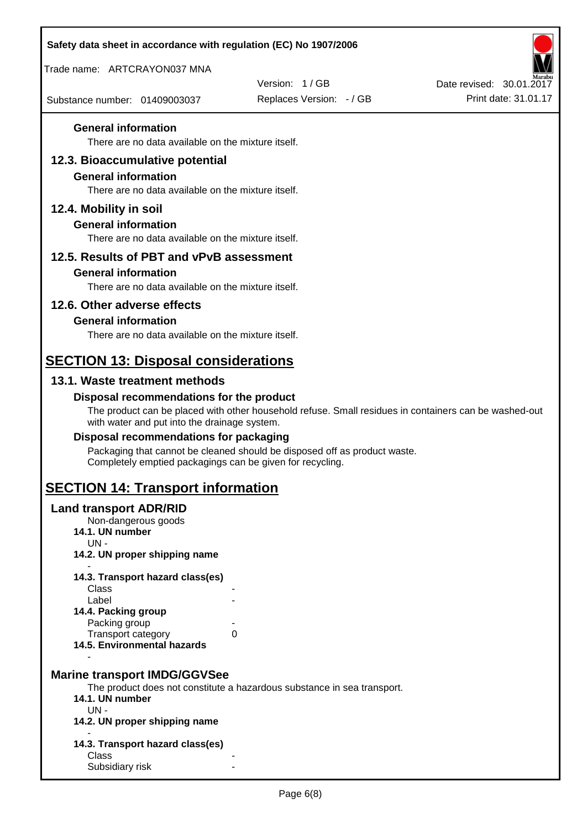| Safety data sheet in accordance with regulation (EC) No 1907/2006                                 |                                                                                                       |                          |
|---------------------------------------------------------------------------------------------------|-------------------------------------------------------------------------------------------------------|--------------------------|
| Trade name: ARTCRAYON037 MNA                                                                      |                                                                                                       |                          |
|                                                                                                   | Version: 1/GB                                                                                         | Date revised: 30.01.2017 |
| Substance number: 01409003037                                                                     | Replaces Version: - / GB                                                                              | Print date: 31.01.17     |
| <b>General information</b><br>There are no data available on the mixture itself.                  |                                                                                                       |                          |
| 12.3. Bioaccumulative potential                                                                   |                                                                                                       |                          |
| <b>General information</b>                                                                        |                                                                                                       |                          |
| There are no data available on the mixture itself.                                                |                                                                                                       |                          |
| 12.4. Mobility in soil                                                                            |                                                                                                       |                          |
| <b>General information</b>                                                                        |                                                                                                       |                          |
| There are no data available on the mixture itself.                                                |                                                                                                       |                          |
| 12.5. Results of PBT and vPvB assessment                                                          |                                                                                                       |                          |
| <b>General information</b>                                                                        |                                                                                                       |                          |
| There are no data available on the mixture itself.                                                |                                                                                                       |                          |
| 12.6. Other adverse effects                                                                       |                                                                                                       |                          |
| <b>General information</b>                                                                        |                                                                                                       |                          |
| There are no data available on the mixture itself.                                                |                                                                                                       |                          |
| <b>SECTION 13: Disposal considerations</b>                                                        |                                                                                                       |                          |
| 13.1. Waste treatment methods                                                                     |                                                                                                       |                          |
| Disposal recommendations for the product<br>with water and put into the drainage system.          | The product can be placed with other household refuse. Small residues in containers can be washed-out |                          |
| Disposal recommendations for packaging                                                            |                                                                                                       |                          |
| Completely emptied packagings can be given for recycling.                                         | Packaging that cannot be cleaned should be disposed off as product waste.                             |                          |
| <b>SECTION 14: Transport information</b>                                                          |                                                                                                       |                          |
| <b>Land transport ADR/RID</b><br>Non-dangerous goods<br>14.1. UN number<br>$UN -$                 |                                                                                                       |                          |
| 14.2. UN proper shipping name                                                                     |                                                                                                       |                          |
| 14.3. Transport hazard class(es)                                                                  |                                                                                                       |                          |
| Class<br>Label                                                                                    |                                                                                                       |                          |
| 14.4. Packing group                                                                               |                                                                                                       |                          |
| Packing group                                                                                     |                                                                                                       |                          |
| Transport category<br>14.5. Environmental hazards                                                 | 0                                                                                                     |                          |
| <b>Marine transport IMDG/GGVSee</b><br>14.1. UN number<br>$UN -$<br>14.2. UN proper shipping name | The product does not constitute a hazardous substance in sea transport.                               |                          |
|                                                                                                   |                                                                                                       |                          |
| 14.3. Transport hazard class(es)<br>Class                                                         |                                                                                                       |                          |
| Subsidiary risk                                                                                   |                                                                                                       |                          |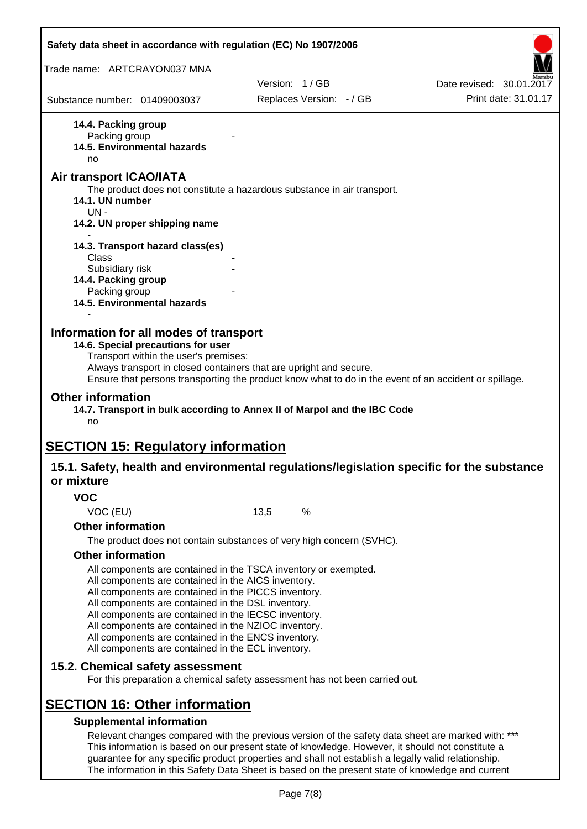|                                                         | Safety data sheet in accordance with regulation (EC) No 1907/2006                                                                                                                                                                                                                                                                                                                                                                                                 |      |                          |                                                                                                                                                                                                                                                                                                              |
|---------------------------------------------------------|-------------------------------------------------------------------------------------------------------------------------------------------------------------------------------------------------------------------------------------------------------------------------------------------------------------------------------------------------------------------------------------------------------------------------------------------------------------------|------|--------------------------|--------------------------------------------------------------------------------------------------------------------------------------------------------------------------------------------------------------------------------------------------------------------------------------------------------------|
| Trade name: ARTCRAYON037 MNA                            |                                                                                                                                                                                                                                                                                                                                                                                                                                                                   |      |                          |                                                                                                                                                                                                                                                                                                              |
|                                                         |                                                                                                                                                                                                                                                                                                                                                                                                                                                                   |      | Version: 1/GB            | Date revised: 30.01.2017                                                                                                                                                                                                                                                                                     |
| Substance number: 01409003037                           |                                                                                                                                                                                                                                                                                                                                                                                                                                                                   |      | Replaces Version: - / GB | Print date: 31.01.17                                                                                                                                                                                                                                                                                         |
| 14.4. Packing group<br>Packing group<br>no              | 14.5. Environmental hazards                                                                                                                                                                                                                                                                                                                                                                                                                                       |      |                          |                                                                                                                                                                                                                                                                                                              |
| Air transport ICAO/IATA<br>14.1. UN number<br>$UN -$    | The product does not constitute a hazardous substance in air transport.                                                                                                                                                                                                                                                                                                                                                                                           |      |                          |                                                                                                                                                                                                                                                                                                              |
|                                                         | 14.2. UN proper shipping name                                                                                                                                                                                                                                                                                                                                                                                                                                     |      |                          |                                                                                                                                                                                                                                                                                                              |
| Class                                                   | 14.3. Transport hazard class(es)                                                                                                                                                                                                                                                                                                                                                                                                                                  |      |                          |                                                                                                                                                                                                                                                                                                              |
| Subsidiary risk<br>14.4. Packing group<br>Packing group |                                                                                                                                                                                                                                                                                                                                                                                                                                                                   |      |                          |                                                                                                                                                                                                                                                                                                              |
|                                                         | <b>14.5. Environmental hazards</b>                                                                                                                                                                                                                                                                                                                                                                                                                                |      |                          |                                                                                                                                                                                                                                                                                                              |
| <b>Other information</b><br>no                          | 14.6. Special precautions for user<br>Transport within the user's premises:<br>Always transport in closed containers that are upright and secure.<br>14.7. Transport in bulk according to Annex II of Marpol and the IBC Code                                                                                                                                                                                                                                     |      |                          | Ensure that persons transporting the product know what to do in the event of an accident or spillage.                                                                                                                                                                                                        |
| or mixture                                              | <b>SECTION 15: Regulatory information</b>                                                                                                                                                                                                                                                                                                                                                                                                                         |      |                          | 15.1. Safety, health and environmental regulations/legislation specific for the substance                                                                                                                                                                                                                    |
| <b>VOC</b>                                              |                                                                                                                                                                                                                                                                                                                                                                                                                                                                   |      |                          |                                                                                                                                                                                                                                                                                                              |
| VOC (EU)                                                |                                                                                                                                                                                                                                                                                                                                                                                                                                                                   | 13,5 | %                        |                                                                                                                                                                                                                                                                                                              |
| <b>Other information</b>                                |                                                                                                                                                                                                                                                                                                                                                                                                                                                                   |      |                          |                                                                                                                                                                                                                                                                                                              |
|                                                         | The product does not contain substances of very high concern (SVHC).                                                                                                                                                                                                                                                                                                                                                                                              |      |                          |                                                                                                                                                                                                                                                                                                              |
| <b>Other information</b>                                |                                                                                                                                                                                                                                                                                                                                                                                                                                                                   |      |                          |                                                                                                                                                                                                                                                                                                              |
|                                                         | All components are contained in the TSCA inventory or exempted.<br>All components are contained in the AICS inventory.<br>All components are contained in the PICCS inventory.<br>All components are contained in the DSL inventory.<br>All components are contained in the IECSC inventory.<br>All components are contained in the NZIOC inventory.<br>All components are contained in the ENCS inventory.<br>All components are contained in the ECL inventory. |      |                          |                                                                                                                                                                                                                                                                                                              |
|                                                         | 15.2. Chemical safety assessment<br>For this preparation a chemical safety assessment has not been carried out.                                                                                                                                                                                                                                                                                                                                                   |      |                          |                                                                                                                                                                                                                                                                                                              |
|                                                         | <b>SECTION 16: Other information</b>                                                                                                                                                                                                                                                                                                                                                                                                                              |      |                          |                                                                                                                                                                                                                                                                                                              |
|                                                         | <b>Supplemental information</b>                                                                                                                                                                                                                                                                                                                                                                                                                                   |      |                          | Relevant changes compared with the previous version of the safety data sheet are marked with: ***<br>This information is based on our present state of knowledge. However, it should not constitute a<br>guarantee for any specific product properties and shall not establish a legally valid relationship. |

The information in this Safety Data Sheet is based on the present state of knowledge and current